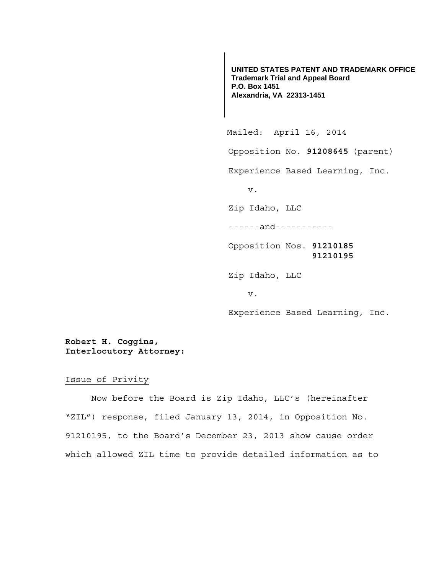**UNITED STATES PATENT AND TRADEMARK OFFICE Trademark Trial and Appeal Board P.O. Box 1451 Alexandria, VA 22313-1451**

 Mailed: April 16, 2014 Opposition No. **91208645** (parent) Experience Based Learning, Inc. v. Zip Idaho, LLC ------and----------- Opposition Nos. **91210185 91210195**  Zip Idaho, LLC v. Experience Based Learning, Inc.

**Robert H. Coggins, Interlocutory Attorney:** 

Issue of Privity

 Now before the Board is Zip Idaho, LLC's (hereinafter "ZIL") response, filed January 13, 2014, in Opposition No. 91210195, to the Board's December 23, 2013 show cause order which allowed ZIL time to provide detailed information as to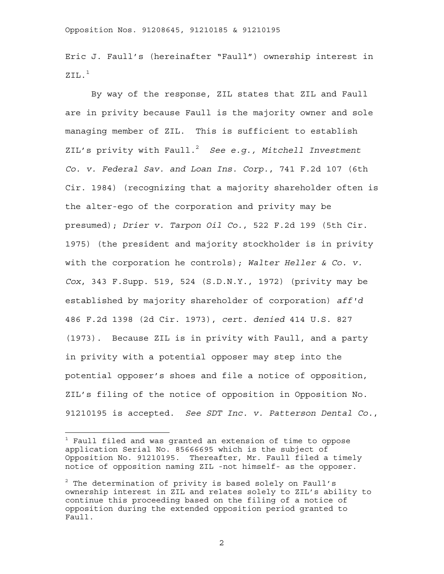Eric J. Faull's (hereinafter "Faull") ownership interest in  $ZTI<sub>1</sub>$ <sup>1</sup>

 By way of the response, ZIL states that ZIL and Faull are in privity because Faull is the majority owner and sole managing member of ZIL. This is sufficient to establish ZIL's privity with Faull.<sup>2</sup> See e.g., Mitchell Investment *Co. v. Federal Sav. and Loan Ins. Corp.*, 741 F.2d 107 (6th Cir. 1984) (recognizing that a majority shareholder often is the alter-ego of the corporation and privity may be presumed); *Drier v. Tarpon Oil Co.*, 522 F.2d 199 (5th Cir. 1975) (the president and majority stockholder is in privity with the corporation he controls); *Walter Heller & Co. v. Cox*, 343 F.Supp. 519, 524 (S.D.N.Y., 1972) (privity may be established by majority shareholder of corporation) *aff'd*  486 F.2d 1398 (2d Cir. 1973), *cert. denied* 414 U.S. 827 (1973). Because ZIL is in privity with Faull, and a party in privity with a potential opposer may step into the potential opposer's shoes and file a notice of opposition, ZIL's filing of the notice of opposition in Opposition No. 91210195 is accepted. *See SDT Inc. v. Patterson Dental Co.*,

—<br>—

2

 $^{\rm 1}$  Faull filed and was granted an extension of time to oppose application Serial No. 85666695 which is the subject of Opposition No. 91210195. Thereafter, Mr. Faull filed a timely notice of opposition naming ZIL -not himself- as the opposer.

 $^2$  The determination of privity is based solely on Faull's ownership interest in ZIL and relates solely to ZIL's ability to continue this proceeding based on the filing of a notice of opposition during the extended opposition period granted to Faull.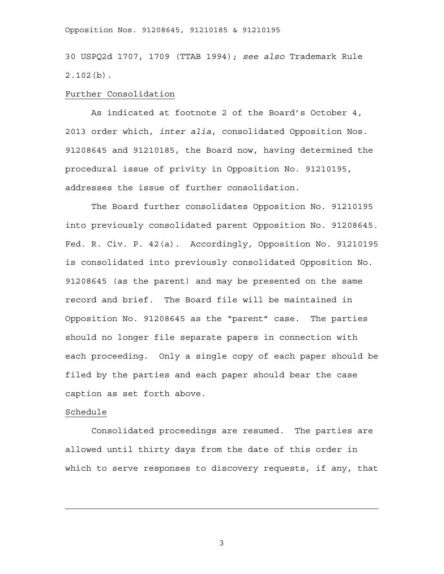## Opposition Nos. 91208645, 91210185 & 91210195

30 USPQ2d 1707, 1709 (TTAB 1994); *see also* Trademark Rule 2.102(b).

## Further Consolidation

 As indicated at footnote 2 of the Board's October 4, 2013 order which, *inter alia*, consolidated Opposition Nos. 91208645 and 91210185, the Board now, having determined the procedural issue of privity in Opposition No. 91210195, addresses the issue of further consolidation.

 The Board further consolidates Opposition No. 91210195 into previously consolidated parent Opposition No. 91208645. Fed. R. Civ. P. 42(a). Accordingly, Opposition No. 91210195 is consolidated into previously consolidated Opposition No. 91208645 (as the parent) and may be presented on the same record and brief. The Board file will be maintained in Opposition No. 91208645 as the "parent" case. The parties should no longer file separate papers in connection with each proceeding. Only a single copy of each paper should be filed by the parties and each paper should bear the case caption as set forth above.

## Schedule

 Consolidated proceedings are resumed. The parties are allowed until thirty days from the date of this order in which to serve responses to discovery requests, if any, that

3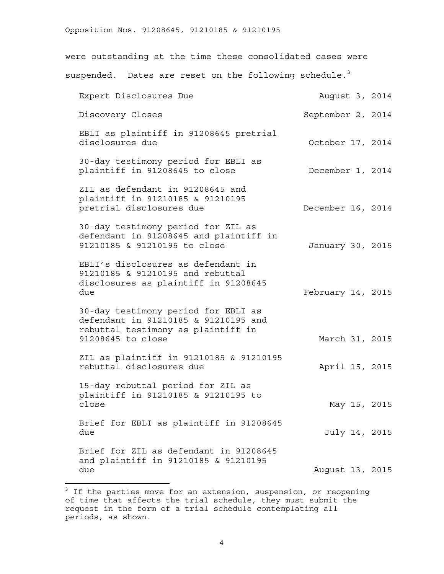were outstanding at the time these consolidated cases were suspended. Dates are reset on the following schedule. $3$ 

|  | August 3, 2014<br>September 2, 2014<br>October 17, 2014<br>December 1, 2014<br>December 16, 2014<br>January 30, 2015<br>February 14, 2015<br>March 31, 2015<br>April 15, 2015<br>May 15, 2015<br>July 14, 2015<br>August 13, 2015 |
|--|-----------------------------------------------------------------------------------------------------------------------------------------------------------------------------------------------------------------------------------|

 3 If the parties move for an extension, suspension, or reopening of time that affects the trial schedule, they must submit the request in the form of a trial schedule contemplating all periods, as shown.